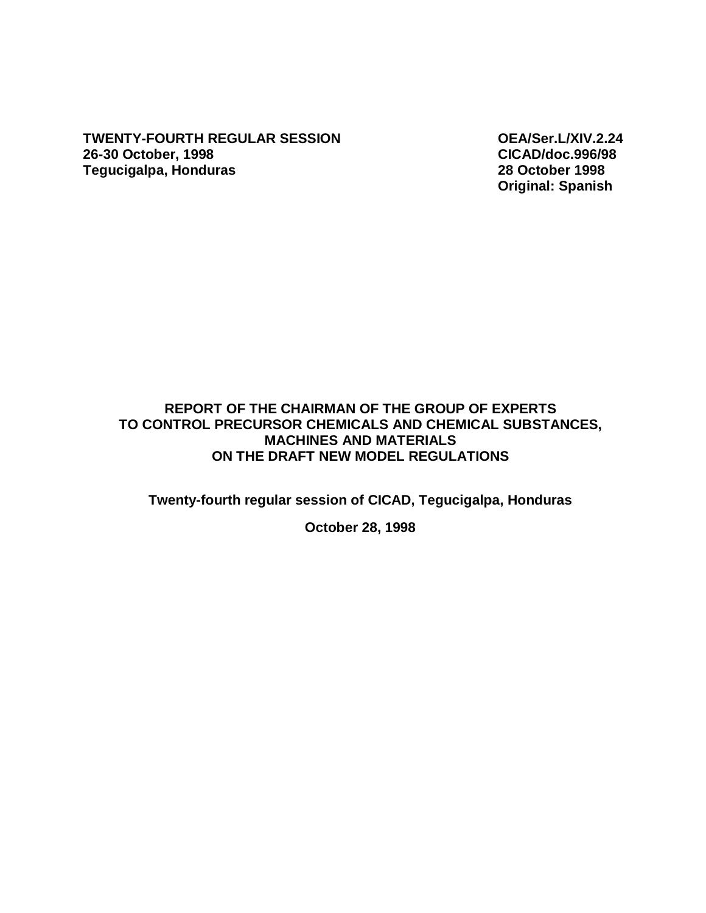**TWENTY-FOURTH REGULAR SESSION OEA/Ser.L/XIV.2.24 26-30 October, 1998 CICAD/doc.996/98 Tegucigalpa, Honduras** 

**Original: Spanish** 

## **REPORT OF THE CHAIRMAN OF THE GROUP OF EXPERTS TO CONTROL PRECURSOR CHEMICALS AND CHEMICAL SUBSTANCES, MACHINES AND MATERIALS ON THE DRAFT NEW MODEL REGULATIONS**

**Twenty-fourth regular session of CICAD, Tegucigalpa, Honduras** 

**October 28, 1998**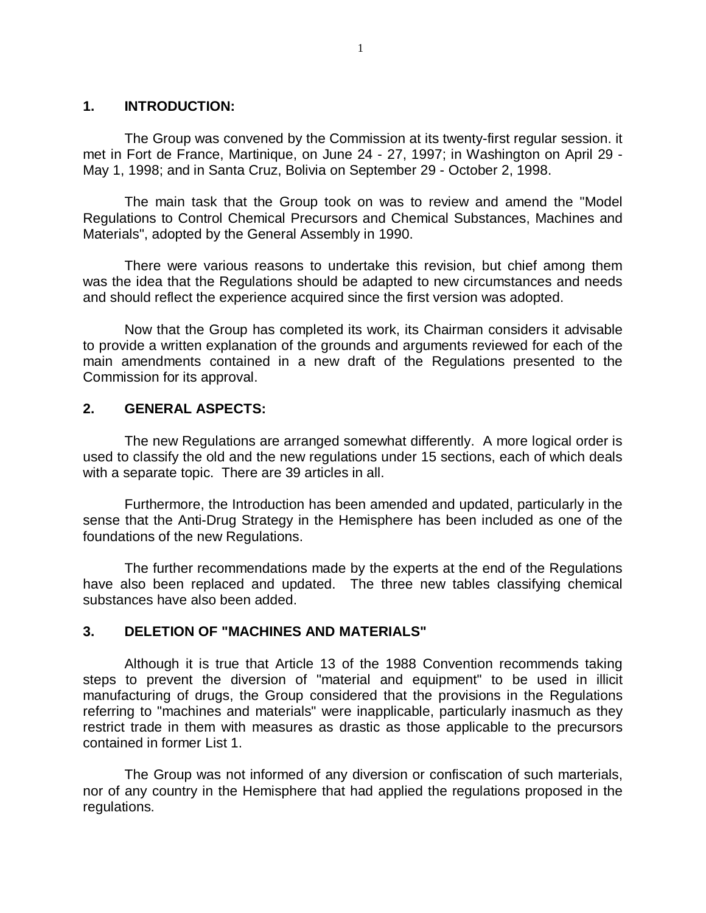#### **1. INTRODUCTION:**

The Group was convened by the Commission at its twenty-first regular session. it met in Fort de France, Martinique, on June 24 - 27, 1997; in Washington on April 29 - May 1, 1998; and in Santa Cruz, Bolivia on September 29 - October 2, 1998.

The main task that the Group took on was to review and amend the "Model Regulations to Control Chemical Precursors and Chemical Substances, Machines and Materials", adopted by the General Assembly in 1990.

There were various reasons to undertake this revision, but chief among them was the idea that the Regulations should be adapted to new circumstances and needs and should reflect the experience acquired since the first version was adopted.

Now that the Group has completed its work, its Chairman considers it advisable to provide a written explanation of the grounds and arguments reviewed for each of the main amendments contained in a new draft of the Regulations presented to the Commission for its approval.

### **2. GENERAL ASPECTS:**

The new Regulations are arranged somewhat differently. A more logical order is used to classify the old and the new regulations under 15 sections, each of which deals with a separate topic. There are 39 articles in all.

Furthermore, the Introduction has been amended and updated, particularly in the sense that the Anti-Drug Strategy in the Hemisphere has been included as one of the foundations of the new Regulations.

The further recommendations made by the experts at the end of the Regulations have also been replaced and updated. The three new tables classifying chemical substances have also been added.

### **3. DELETION OF "MACHINES AND MATERIALS"**

Although it is true that Article 13 of the 1988 Convention recommends taking steps to prevent the diversion of "material and equipment" to be used in illicit manufacturing of drugs, the Group considered that the provisions in the Regulations referring to "machines and materials" were inapplicable, particularly inasmuch as they restrict trade in them with measures as drastic as those applicable to the precursors contained in former List 1.

The Group was not informed of any diversion or confiscation of such marterials, nor of any country in the Hemisphere that had applied the regulations proposed in the regulations.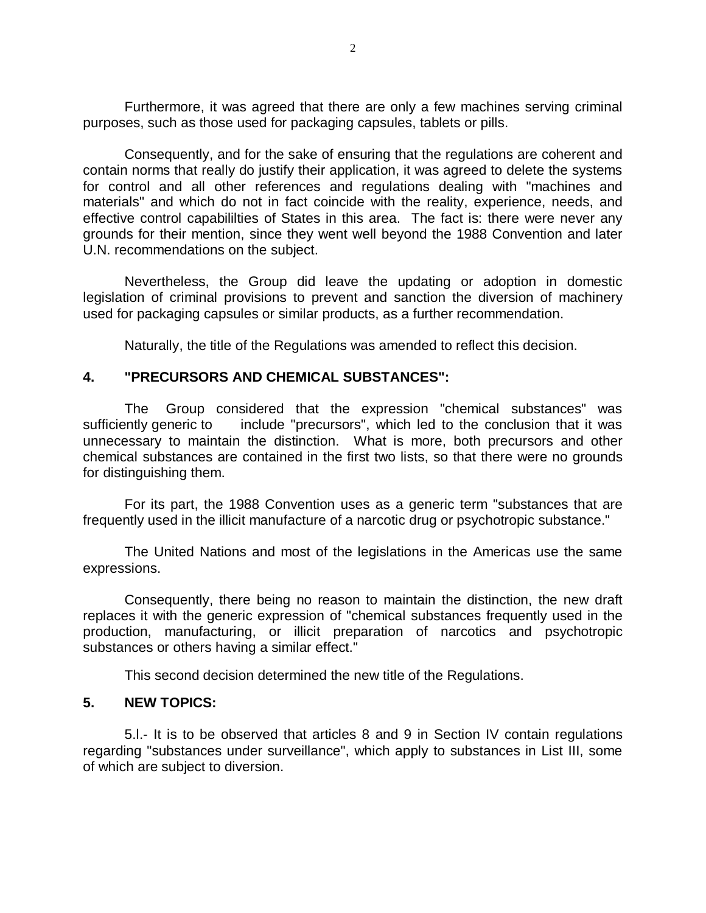Furthermore, it was agreed that there are only a few machines serving criminal purposes, such as those used for packaging capsules, tablets or pills.

Consequently, and for the sake of ensuring that the regulations are coherent and contain norms that really do justify their application, it was agreed to delete the systems for control and all other references and regulations dealing with "machines and materials" and which do not in fact coincide with the reality, experience, needs, and effective control capabililties of States in this area. The fact is: there were never any grounds for their mention, since they went well beyond the 1988 Convention and later U.N. recommendations on the subject.

Nevertheless, the Group did leave the updating or adoption in domestic legislation of criminal provisions to prevent and sanction the diversion of machinery used for packaging capsules or similar products, as a further recommendation.

Naturally, the title of the Regulations was amended to reflect this decision.

### **4. "PRECURSORS AND CHEMICAL SUBSTANCES":**

The Group considered that the expression "chemical substances" was sufficiently generic to include "precursors", which led to the conclusion that it was unnecessary to maintain the distinction. What is more, both precursors and other chemical substances are contained in the first two lists, so that there were no grounds for distinguishing them.

For its part, the 1988 Convention uses as a generic term "substances that are frequently used in the illicit manufacture of a narcotic drug or psychotropic substance."

The United Nations and most of the legislations in the Americas use the same expressions.

Consequently, there being no reason to maintain the distinction, the new draft replaces it with the generic expression of "chemical substances frequently used in the production, manufacturing, or illicit preparation of narcotics and psychotropic substances or others having a similar effect."

This second decision determined the new title of the Regulations.

# **5. NEW TOPICS:**

5.l.- It is to be observed that articles 8 and 9 in Section IV contain regulations regarding "substances under surveillance", which apply to substances in List III, some of which are subject to diversion.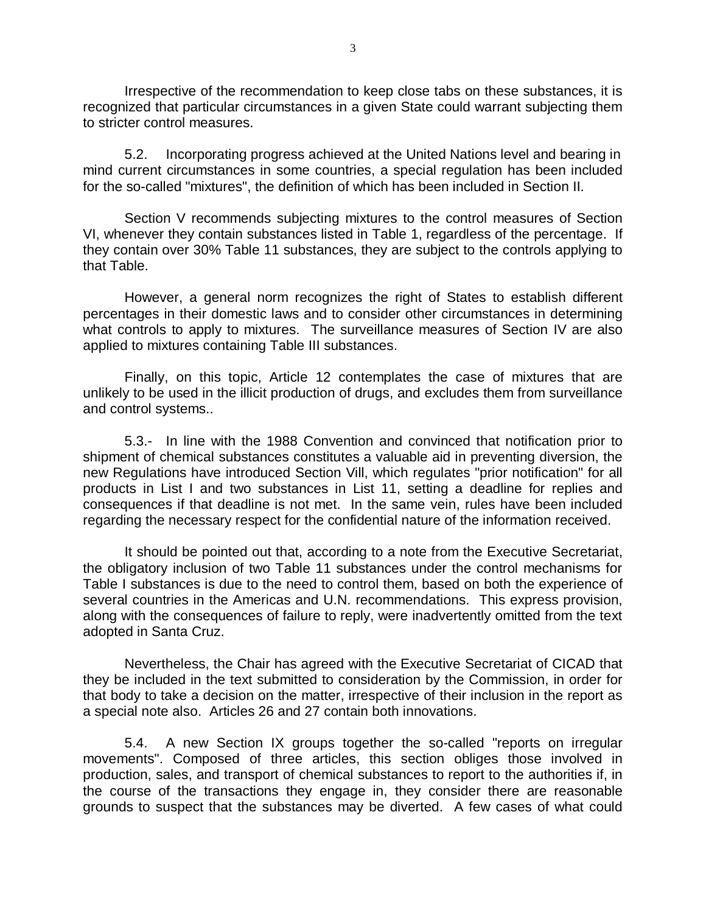Irrespective of the recommendation to keep close tabs on these substances, it is recognized that particular circumstances in a given State could warrant subjecting them to stricter control measures.

5.2. Incorporating progress achieved at the United Nations level and bearing in mind current circumstances in some countries, a special regulation has been included for the so-called "mixtures", the definition of which has been included in Section II.

Section V recommends subjecting mixtures to the control measures of Section VI, whenever they contain substances listed in Table 1, regardless of the percentage. If they contain over 30% Table 11 substances, they are subject to the controls applying to that Table.

However, a general norm recognizes the right of States to establish different percentages in their domestic laws and to consider other circumstances in determining what controls to apply to mixtures. The surveillance measures of Section IV are also applied to mixtures containing Table III substances.

Finally, on this topic, Article 12 contemplates the case of mixtures that are unlikely to be used in the illicit production of drugs, and excludes them from surveillance and control systems..

5.3.- In line with the 1988 Convention and convinced that notification prior to shipment of chemical substances constitutes a valuable aid in preventing diversion, the new Regulations have introduced Section Vill, which regulates "prior notification" for all products in List I and two substances in List 11, setting a deadline for replies and consequences if that deadline is not met. In the same vein, rules have been included regarding the necessary respect for the confidential nature of the information received.

It should be pointed out that, according to a note from the Executive Secretariat, the obligatory inclusion of two Table 11 substances under the control mechanisms for Table I substances is due to the need to control them, based on both the experience of several countries in the Americas and U.N. recommendations. This express provision, along with the consequences of failure to reply, were inadvertently omitted from the text adopted in Santa Cruz.

Nevertheless, the Chair has agreed with the Executive Secretariat of CICAD that they be included in the text submitted to consideration by the Commission, in order for that body to take a decision on the matter, irrespective of their inclusion in the report as a special note also. Articles 26 and 27 contain both innovations.

5.4. A new Section IX groups together the so-called "reports on irregular movements". Composed of three articles, this section obliges those involved in production, sales, and transport of chemical substances to report to the authorities if, in the course of the transactions they engage in, they consider there are reasonable grounds to suspect that the substances may be diverted. A few cases of what could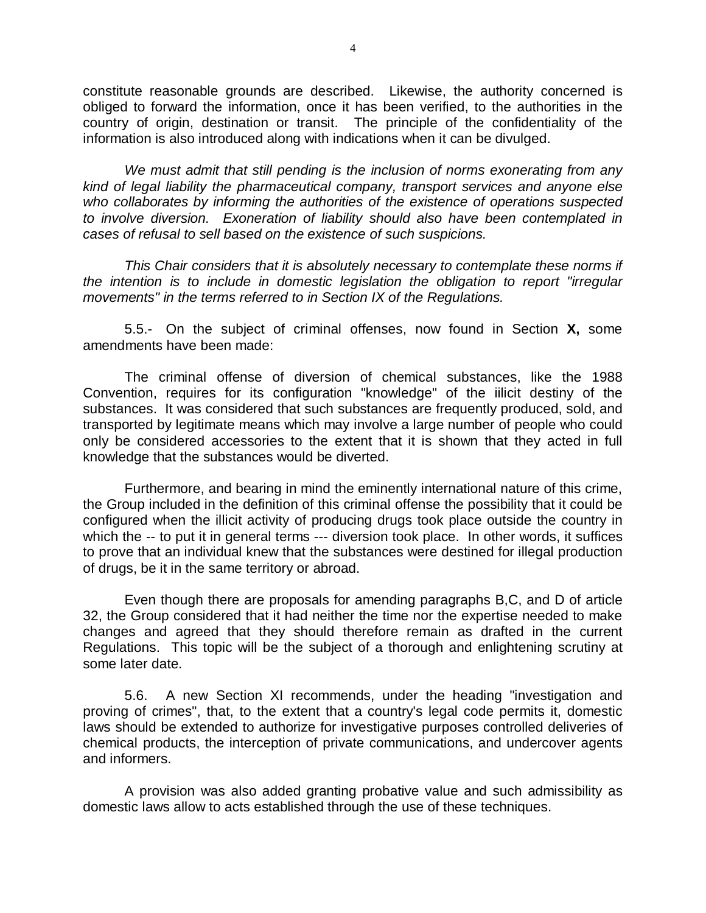constitute reasonable grounds are described. Likewise, the authority concerned is obliged to forward the information, once it has been verified, to the authorities in the country of origin, destination or transit. The principle of the confidentiality of the information is also introduced along with indications when it can be divulged.

*We must admit that still pending is the inclusion of norms exonerating from any kind of legal liability the pharmaceutical company, transport services and anyone else who collaborates by informing the authorities of the existence of operations suspected to involve diversion. Exoneration of liability should also have been contemplated in cases of refusal to sell based on the existence of such suspicions.*

*This Chair considers that it is absolutely necessary to contemplate these norms if the intention is to include in domestic legislation the obligation to report "irregular movements" in the terms referred to in Section IX of the Regulations.*

5.5.- On the subject of criminal offenses, now found in Section **X,** some amendments have been made:

The criminal offense of diversion of chemical substances, like the 1988 Convention, requires for its configuration "knowledge" of the iilicit destiny of the substances. It was considered that such substances are frequently produced, sold, and transported by legitimate means which may involve a large number of people who could only be considered accessories to the extent that it is shown that they acted in full knowledge that the substances would be diverted.

Furthermore, and bearing in mind the eminently international nature of this crime, the Group included in the definition of this criminal offense the possibility that it could be configured when the illicit activity of producing drugs took place outside the country in which the -- to put it in general terms --- diversion took place. In other words, it suffices to prove that an individual knew that the substances were destined for illegal production of drugs, be it in the same territory or abroad.

Even though there are proposals for amending paragraphs B,C, and D of article 32, the Group considered that it had neither the time nor the expertise needed to make changes and agreed that they should therefore remain as drafted in the current Regulations. This topic will be the subject of a thorough and enlightening scrutiny at some later date.

5.6. A new Section XI recommends, under the heading "investigation and proving of crimes", that, to the extent that a country's legal code permits it, domestic laws should be extended to authorize for investigative purposes controlled deliveries of chemical products, the interception of private communications, and undercover agents and informers.

A provision was also added granting probative value and such admissibility as domestic laws allow to acts established through the use of these techniques.